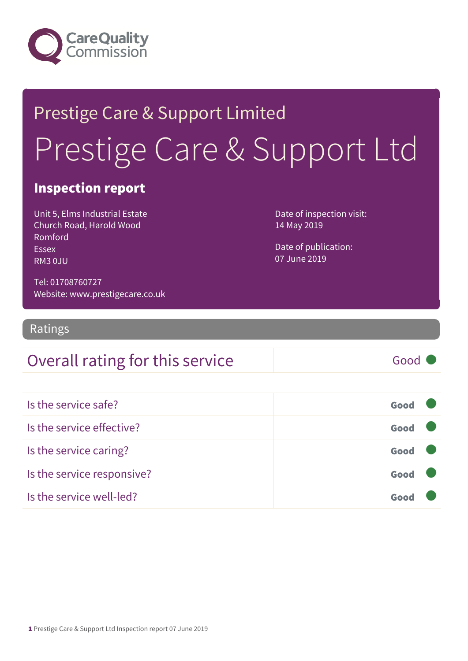

# Prestige Care & Support Limited Prestige Care & Support Ltd

### Inspection report

Unit 5, Elms Industrial Estate Church Road, Harold Wood Romford Essex RM3 0JU

Date of inspection visit: 14 May 2019

Date of publication: 07 June 2019

Tel: 01708760727 Website: www.prestigecare.co.uk

Ratings

### Overall rating for this service and all the Good

| Is the service safe?       | Good |  |
|----------------------------|------|--|
| Is the service effective?  | Good |  |
| Is the service caring?     | Good |  |
| Is the service responsive? | Good |  |
| Is the service well-led?   | Goo  |  |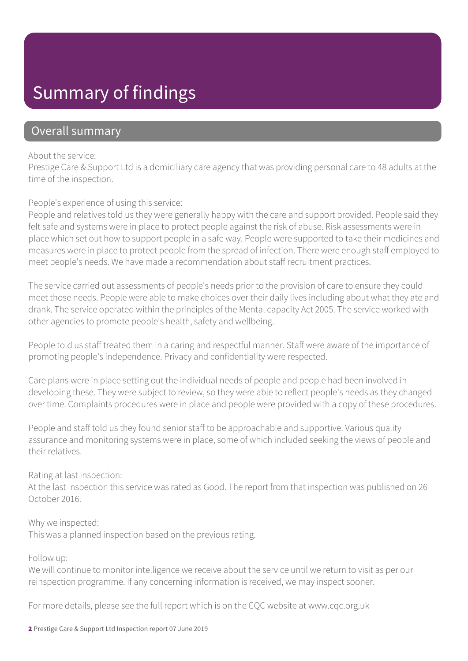### Summary of findings

### Overall summary

#### About the service:

Prestige Care & Support Ltd is a domiciliary care agency that was providing personal care to 48 adults at the time of the inspection.

People's experience of using this service:

People and relatives told us they were generally happy with the care and support provided. People said they felt safe and systems were in place to protect people against the risk of abuse. Risk assessments were in place which set out how to support people in a safe way. People were supported to take their medicines and measures were in place to protect people from the spread of infection. There were enough staff employed to meet people's needs. We have made a recommendation about staff recruitment practices.

The service carried out assessments of people's needs prior to the provision of care to ensure they could meet those needs. People were able to make choices over their daily lives including about what they ate and drank. The service operated within the principles of the Mental capacity Act 2005. The service worked with other agencies to promote people's health, safety and wellbeing.

People told us staff treated them in a caring and respectful manner. Staff were aware of the importance of promoting people's independence. Privacy and confidentiality were respected.

Care plans were in place setting out the individual needs of people and people had been involved in developing these. They were subject to review, so they were able to reflect people's needs as they changed over time. Complaints procedures were in place and people were provided with a copy of these procedures.

People and staff told us they found senior staff to be approachable and supportive. Various quality assurance and monitoring systems were in place, some of which included seeking the views of people and their relatives.

#### Rating at last inspection:

At the last inspection this service was rated as Good. The report from that inspection was published on 26 October 2016.

#### Why we inspected:

This was a planned inspection based on the previous rating.

#### Follow up:

We will continue to monitor intelligence we receive about the service until we return to visit as per our reinspection programme. If any concerning information is received, we may inspect sooner.

For more details, please see the full report which is on the CQC website at www.cqc.org.uk

#### 2 Prestige Care & Support Ltd Inspection report 07 June 2019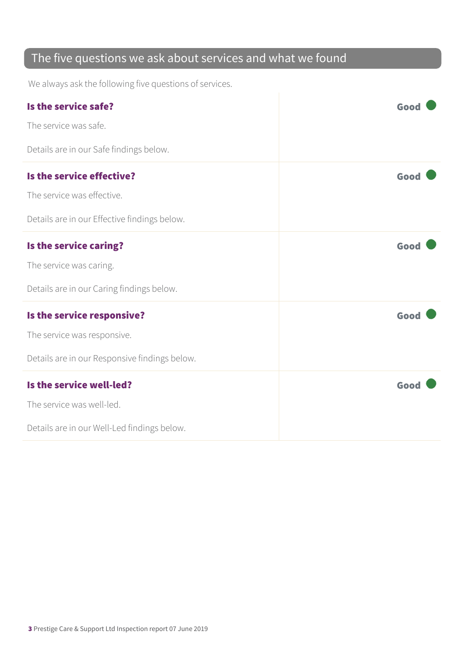### The five questions we ask about services and what we found

We always ask the following five questions of services.

| Is the service safe?                          | Good |
|-----------------------------------------------|------|
| The service was safe.                         |      |
| Details are in our Safe findings below.       |      |
| Is the service effective?                     | Good |
| The service was effective.                    |      |
| Details are in our Effective findings below.  |      |
| Is the service caring?                        | Good |
| The service was caring.                       |      |
| Details are in our Caring findings below.     |      |
| Is the service responsive?                    | Good |
| The service was responsive.                   |      |
| Details are in our Responsive findings below. |      |
| Is the service well-led?                      | Good |
| The service was well-led.                     |      |
| Details are in our Well-Led findings below.   |      |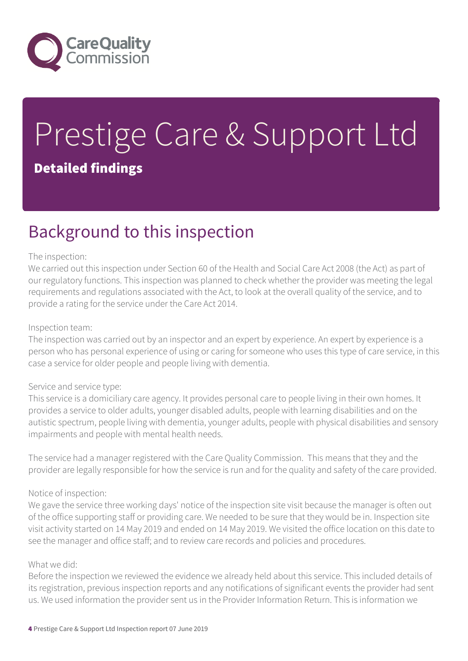

# Prestige Care & Support Ltd Detailed findings

### Background to this inspection

#### The inspection:

We carried out this inspection under Section 60 of the Health and Social Care Act 2008 (the Act) as part of our regulatory functions. This inspection was planned to check whether the provider was meeting the legal requirements and regulations associated with the Act, to look at the overall quality of the service, and to provide a rating for the service under the Care Act 2014.

#### Inspection team:

The inspection was carried out by an inspector and an expert by experience. An expert by experience is a person who has personal experience of using or caring for someone who uses this type of care service, in this case a service for older people and people living with dementia.

#### Service and service type:

This service is a domiciliary care agency. It provides personal care to people living in their own homes. It provides a service to older adults, younger disabled adults, people with learning disabilities and on the autistic spectrum, people living with dementia, younger adults, people with physical disabilities and sensory impairments and people with mental health needs.

The service had a manager registered with the Care Quality Commission. This means that they and the provider are legally responsible for how the service is run and for the quality and safety of the care provided.

#### Notice of inspection:

We gave the service three working days' notice of the inspection site visit because the manager is often out of the office supporting staff or providing care. We needed to be sure that they would be in. Inspection site visit activity started on 14 May 2019 and ended on 14 May 2019. We visited the office location on this date to see the manager and office staff; and to review care records and policies and procedures.

#### What we did:

Before the inspection we reviewed the evidence we already held about this service. This included details of its registration, previous inspection reports and any notifications of significant events the provider had sent us. We used information the provider sent us in the Provider Information Return. This is information we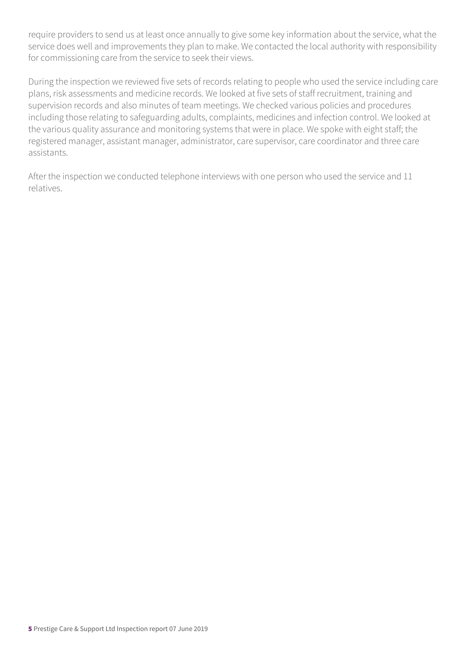require providers to send us at least once annually to give some key information about the service, what the service does well and improvements they plan to make. We contacted the local authority with responsibility for commissioning care from the service to seek their views.

During the inspection we reviewed five sets of records relating to people who used the service including care plans, risk assessments and medicine records. We looked at five sets of staff recruitment, training and supervision records and also minutes of team meetings. We checked various policies and procedures including those relating to safeguarding adults, complaints, medicines and infection control. We looked at the various quality assurance and monitoring systems that were in place. We spoke with eight staff; the registered manager, assistant manager, administrator, care supervisor, care coordinator and three care assistants.

After the inspection we conducted telephone interviews with one person who used the service and 11 relatives.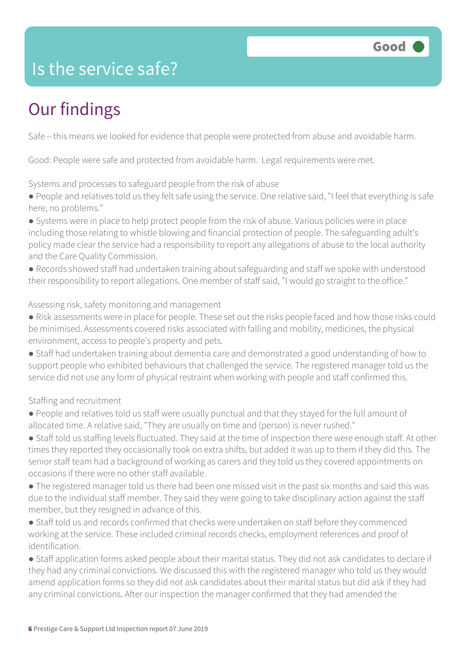### Is the service safe?

## Our findings

Safe – this means we looked for evidence that people were protected from abuse and avoidable harm.

Good: People were safe and protected from avoidable harm. Legal requirements were met.

Systems and processes to safeguard people from the risk of abuse

● People and relatives told us they felt safe using the service. One relative said, "I feel that everything is safe here, no problems."

● Systems were in place to help protect people from the risk of abuse. Various policies were in place including those relating to whistle blowing and financial protection of people. The safeguarding adult's policy made clear the service had a responsibility to report any allegations of abuse to the local authority and the Care Quality Commission.

● Records showed staff had undertaken training about safeguarding and staff we spoke with understood their responsibility to report allegations. One member of staff said, "I would go straight to the office."

#### Assessing risk, safety monitoring and management

- Risk assessments were in place for people. These set out the risks people faced and how those risks could be minimised. Assessments covered risks associated with falling and mobility, medicines, the physical environment, access to people's property and pets.
- Staff had undertaken training about dementia care and demonstrated a good understanding of how to support people who exhibited behaviours that challenged the service. The registered manager told us the service did not use any form of physical restraint when working with people and staff confirmed this.

### Staffing and recruitment

- People and relatives told us staff were usually punctual and that they stayed for the full amount of allocated time. A relative said, "They are usually on time and (person) is never rushed."
- Staff told us staffing levels fluctuated. They said at the time of inspection there were enough staff. At other times they reported they occasionally took on extra shifts, but added it was up to them if they did this. The senior staff team had a background of working as carers and they told us they covered appointments on occasions if there were no other staff available.
- The registered manager told us there had been one missed visit in the past six months and said this was due to the individual staff member. They said they were going to take disciplinary action against the staff member, but they resigned in advance of this.
- Staff told us and records confirmed that checks were undertaken on staff before they commenced working at the service. These included criminal records checks, employment references and proof of identification.

● Staff application forms asked people about their marital status. They did not ask candidates to declare if they had any criminal convictions. We discussed this with the registered manager who told us they would amend application forms so they did not ask candidates about their marital status but did ask if they had any criminal convictions. After our inspection the manager confirmed that they had amended the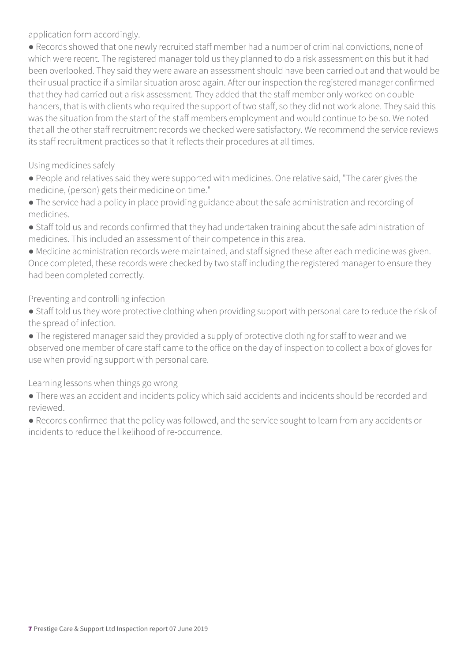application form accordingly.

● Records showed that one newly recruited staff member had a number of criminal convictions, none of which were recent. The registered manager told us they planned to do a risk assessment on this but it had been overlooked. They said they were aware an assessment should have been carried out and that would be their usual practice if a similar situation arose again. After our inspection the registered manager confirmed that they had carried out a risk assessment. They added that the staff member only worked on double handers, that is with clients who required the support of two staff, so they did not work alone. They said this was the situation from the start of the staff members employment and would continue to be so. We noted that all the other staff recruitment records we checked were satisfactory. We recommend the service reviews its staff recruitment practices so that it reflects their procedures at all times.

#### Using medicines safely

- People and relatives said they were supported with medicines. One relative said, "The carer gives the medicine, (person) gets their medicine on time."
- The service had a policy in place providing guidance about the safe administration and recording of medicines.
- Staff told us and records confirmed that they had undertaken training about the safe administration of medicines. This included an assessment of their competence in this area.

● Medicine administration records were maintained, and staff signed these after each medicine was given. Once completed, these records were checked by two staff including the registered manager to ensure they had been completed correctly.

### Preventing and controlling infection

- Staff told us they wore protective clothing when providing support with personal care to reduce the risk of the spread of infection.
- The registered manager said they provided a supply of protective clothing for staff to wear and we observed one member of care staff came to the office on the day of inspection to collect a box of gloves for use when providing support with personal care.

Learning lessons when things go wrong

- There was an accident and incidents policy which said accidents and incidents should be recorded and reviewed.
- Records confirmed that the policy was followed, and the service sought to learn from any accidents or incidents to reduce the likelihood of re-occurrence.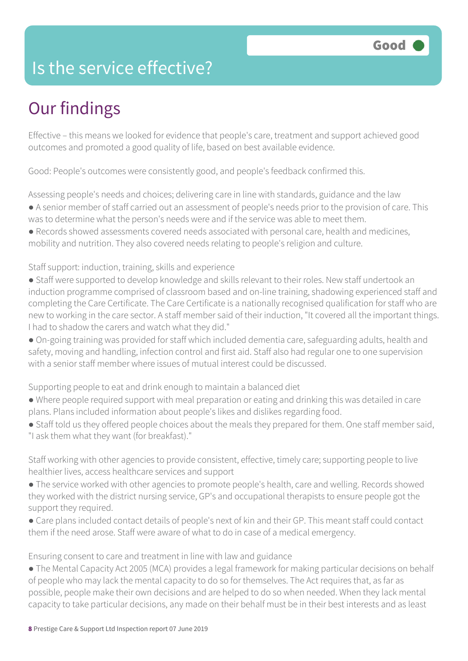### Is the service effective?

## Our findings

Effective – this means we looked for evidence that people's care, treatment and support achieved good outcomes and promoted a good quality of life, based on best available evidence.

Good: People's outcomes were consistently good, and people's feedback confirmed this.

Assessing people's needs and choices; delivering care in line with standards, guidance and the law

- A senior member of staff carried out an assessment of people's needs prior to the provision of care. This was to determine what the person's needs were and if the service was able to meet them.
- Records showed assessments covered needs associated with personal care, health and medicines, mobility and nutrition. They also covered needs relating to people's religion and culture.

Staff support: induction, training, skills and experience

- Staff were supported to develop knowledge and skills relevant to their roles. New staff undertook an induction programme comprised of classroom based and on-line training, shadowing experienced staff and completing the Care Certificate. The Care Certificate is a nationally recognised qualification for staff who are new to working in the care sector. A staff member said of their induction, "It covered all the important things. I had to shadow the carers and watch what they did."
- On-going training was provided for staff which included dementia care, safeguarding adults, health and safety, moving and handling, infection control and first aid. Staff also had regular one to one supervision with a senior staff member where issues of mutual interest could be discussed.

Supporting people to eat and drink enough to maintain a balanced diet

- Where people required support with meal preparation or eating and drinking this was detailed in care plans. Plans included information about people's likes and dislikes regarding food.
- Staff told us they offered people choices about the meals they prepared for them. One staff member said, "I ask them what they want (for breakfast)."

Staff working with other agencies to provide consistent, effective, timely care; supporting people to live healthier lives, access healthcare services and support

- The service worked with other agencies to promote people's health, care and welling. Records showed they worked with the district nursing service, GP's and occupational therapists to ensure people got the support they required.
- Care plans included contact details of people's next of kin and their GP. This meant staff could contact them if the need arose. Staff were aware of what to do in case of a medical emergency.

Ensuring consent to care and treatment in line with law and guidance

• The Mental Capacity Act 2005 (MCA) provides a legal framework for making particular decisions on behalf of people who may lack the mental capacity to do so for themselves. The Act requires that, as far as possible, people make their own decisions and are helped to do so when needed. When they lack mental capacity to take particular decisions, any made on their behalf must be in their best interests and as least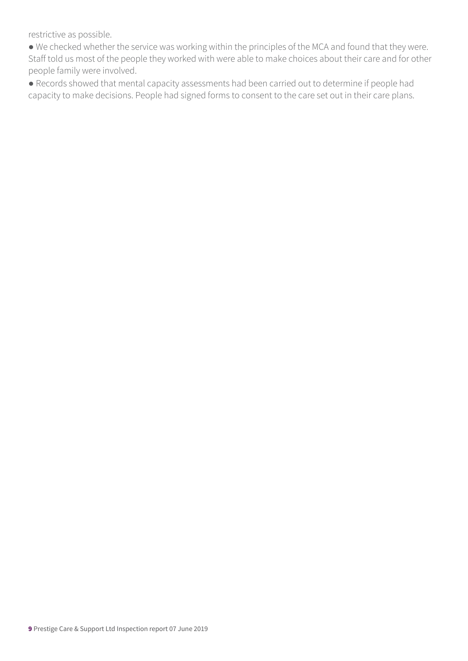restrictive as possible.

● We checked whether the service was working within the principles of the MCA and found that they were. Staff told us most of the people they worked with were able to make choices about their care and for other people family were involved.

● Records showed that mental capacity assessments had been carried out to determine if people had capacity to make decisions. People had signed forms to consent to the care set out in their care plans.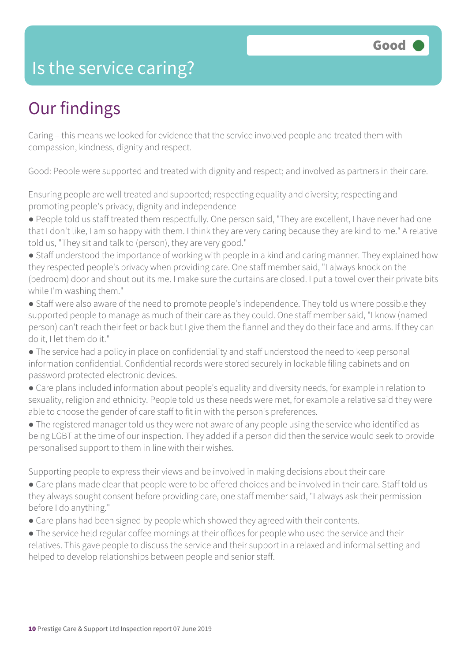### Is the service caring?

## Our findings

Caring – this means we looked for evidence that the service involved people and treated them with compassion, kindness, dignity and respect.

Good: People were supported and treated with dignity and respect; and involved as partners in their care.

Ensuring people are well treated and supported; respecting equality and diversity; respecting and promoting people's privacy, dignity and independence

- People told us staff treated them respectfully. One person said, "They are excellent, I have never had one that I don't like, I am so happy with them. I think they are very caring because they are kind to me." A relative told us, "They sit and talk to (person), they are very good."
- Staff understood the importance of working with people in a kind and caring manner. They explained how they respected people's privacy when providing care. One staff member said, "I always knock on the (bedroom) door and shout out its me. I make sure the curtains are closed. I put a towel over their private bits while I'm washing them."
- Staff were also aware of the need to promote people's independence. They told us where possible they supported people to manage as much of their care as they could. One staff member said, "I know (named person) can't reach their feet or back but I give them the flannel and they do their face and arms. If they can do it, I let them do it."
- The service had a policy in place on confidentiality and staff understood the need to keep personal information confidential. Confidential records were stored securely in lockable filing cabinets and on password protected electronic devices.
- Care plans included information about people's equality and diversity needs, for example in relation to sexuality, religion and ethnicity. People told us these needs were met, for example a relative said they were able to choose the gender of care staff to fit in with the person's preferences.
- The registered manager told us they were not aware of any people using the service who identified as being LGBT at the time of our inspection. They added if a person did then the service would seek to provide personalised support to them in line with their wishes.

Supporting people to express their views and be involved in making decisions about their care

- Care plans made clear that people were to be offered choices and be involved in their care. Staff told us they always sought consent before providing care, one staff member said, "I always ask their permission before I do anything."
- Care plans had been signed by people which showed they agreed with their contents.
- The service held regular coffee mornings at their offices for people who used the service and their relatives. This gave people to discuss the service and their support in a relaxed and informal setting and helped to develop relationships between people and senior staff.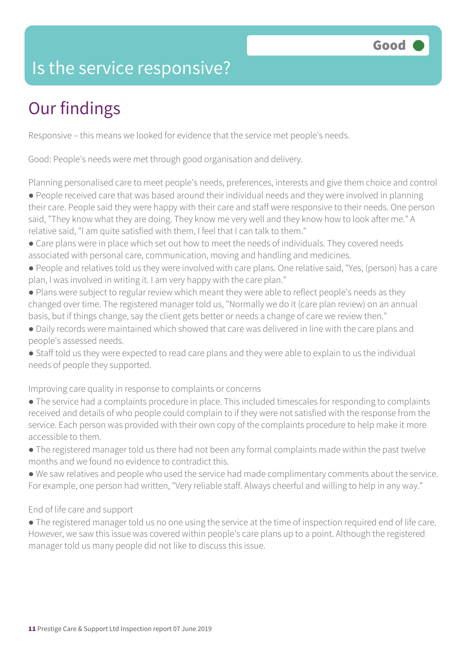### Is the service responsive?

# Our findings

Responsive – this means we looked for evidence that the service met people's needs.

Good: People's needs were met through good organisation and delivery.

Planning personalised care to meet people's needs, preferences, interests and give them choice and control

● People received care that was based around their individual needs and they were involved in planning their care. People said they were happy with their care and staff were responsive to their needs. One person said, "They know what they are doing. They know me very well and they know how to look after me." A relative said, "I am quite satisfied with them, I feel that I can talk to them."

- Care plans were in place which set out how to meet the needs of individuals. They covered needs associated with personal care, communication, moving and handling and medicines.
- People and relatives told us they were involved with care plans. One relative said, "Yes, (person) has a care plan, I was involved in writing it. I am very happy with the care plan."
- Plans were subject to regular review which meant they were able to reflect people's needs as they changed over time. The registered manager told us, "Normally we do it (care plan review) on an annual basis, but if things change, say the client gets better or needs a change of care we review then."
- Daily records were maintained which showed that care was delivered in line with the care plans and people's assessed needs.
- Staff told us they were expected to read care plans and they were able to explain to us the individual needs of people they supported.

Improving care quality in response to complaints or concerns

- The service had a complaints procedure in place. This included timescales for responding to complaints received and details of who people could complain to if they were not satisfied with the response from the service. Each person was provided with their own copy of the complaints procedure to help make it more accessible to them.
- The registered manager told us there had not been any formal complaints made within the past twelve months and we found no evidence to contradict this.
- We saw relatives and people who used the service had made complimentary comments about the service. For example, one person had written, "Very reliable staff. Always cheerful and willing to help in any way."

### End of life care and support

● The registered manager told us no one using the service at the time of inspection required end of life care. However, we saw this issue was covered within people's care plans up to a point. Although the registered manager told us many people did not like to discuss this issue.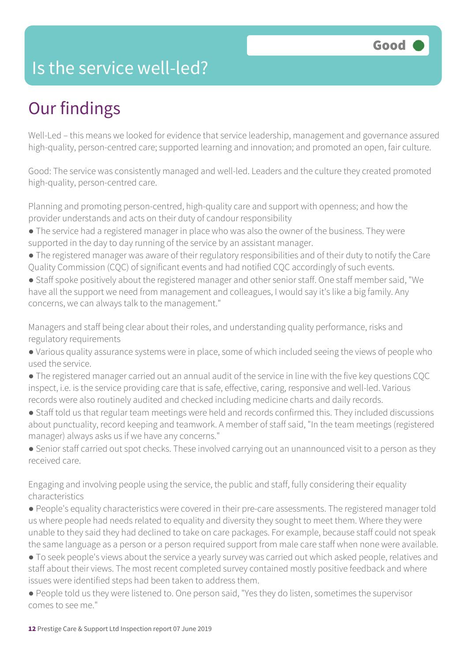### Is the service well-led?

## Our findings

Well-Led – this means we looked for evidence that service leadership, management and governance assured high-quality, person-centred care; supported learning and innovation; and promoted an open, fair culture.

Good: The service was consistently managed and well-led. Leaders and the culture they created promoted high-quality, person-centred care.

Planning and promoting person-centred, high-quality care and support with openness; and how the provider understands and acts on their duty of candour responsibility

- The service had a registered manager in place who was also the owner of the business. They were supported in the day to day running of the service by an assistant manager.
- The registered manager was aware of their regulatory responsibilities and of their duty to notify the Care Quality Commission (CQC) of significant events and had notified CQC accordingly of such events.
- Staff spoke positively about the registered manager and other senior staff. One staff member said, "We have all the support we need from management and colleagues, I would say it's like a big family. Any concerns, we can always talk to the management."

Managers and staff being clear about their roles, and understanding quality performance, risks and regulatory requirements

- Various quality assurance systems were in place, some of which included seeing the views of people who used the service.
- The registered manager carried out an annual audit of the service in line with the five key questions CQC inspect, i.e. is the service providing care that is safe, effective, caring, responsive and well-led. Various records were also routinely audited and checked including medicine charts and daily records.
- Staff told us that regular team meetings were held and records confirmed this. They included discussions about punctuality, record keeping and teamwork. A member of staff said, "In the team meetings (registered manager) always asks us if we have any concerns."

● Senior staff carried out spot checks. These involved carrying out an unannounced visit to a person as they received care.

Engaging and involving people using the service, the public and staff, fully considering their equality characteristics

● People's equality characteristics were covered in their pre-care assessments. The registered manager told us where people had needs related to equality and diversity they sought to meet them. Where they were unable to they said they had declined to take on care packages. For example, because staff could not speak the same language as a person or a person required support from male care staff when none were available.

- To seek people's views about the service a yearly survey was carried out which asked people, relatives and staff about their views. The most recent completed survey contained mostly positive feedback and where issues were identified steps had been taken to address them.
- People told us they were listened to. One person said, "Yes they do listen, sometimes the supervisor comes to see me."